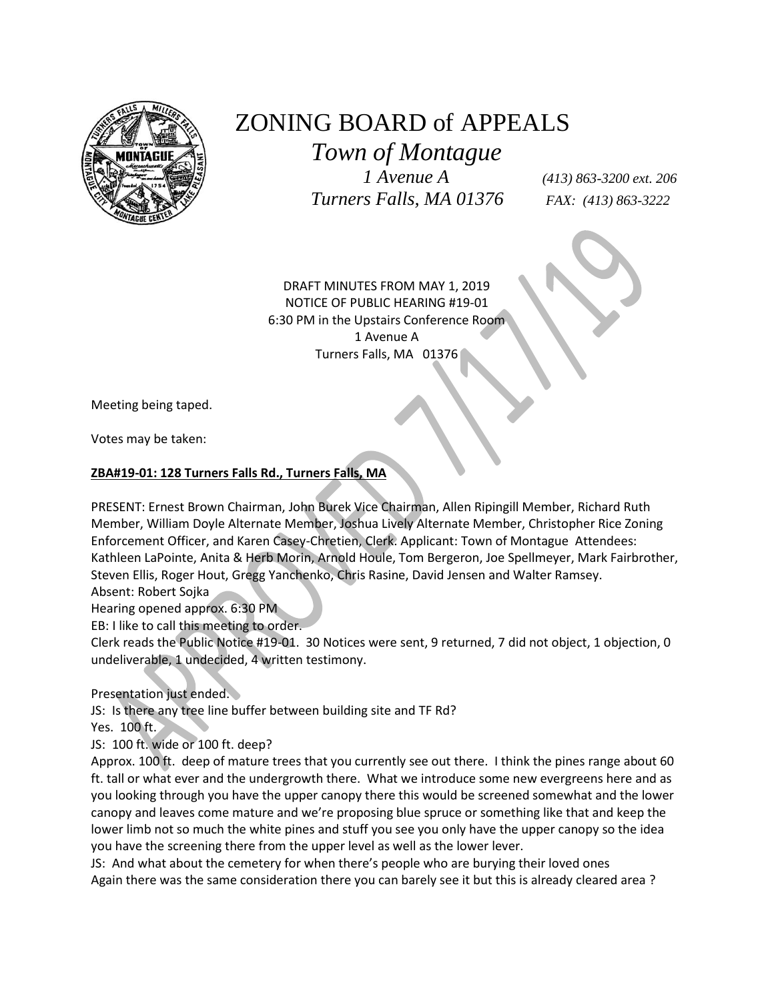

## ZONING BOARD of APPEALS

 *Town of Montague*

 *1 Avenue A (413) 863-3200 ext. 206 Turners Falls, MA 01376 FAX: (413) 863-3222*

DRAFT MINUTES FROM MAY 1, 2019 NOTICE OF PUBLIC HEARING #19-01 6:30 PM in the Upstairs Conference Room 1 Avenue A Turners Falls, MA 01376

Meeting being taped.

Votes may be taken:

## **ZBA#19-01: 128 Turners Falls Rd., Turners Falls, MA**

PRESENT: Ernest Brown Chairman, John Burek Vice Chairman, Allen Ripingill Member, Richard Ruth Member, William Doyle Alternate Member, Joshua Lively Alternate Member, Christopher Rice Zoning Enforcement Officer, and Karen Casey-Chretien, Clerk. Applicant: Town of Montague Attendees: Kathleen LaPointe, Anita & Herb Morin, Arnold Houle, Tom Bergeron, Joe Spellmeyer, Mark Fairbrother, Steven Ellis, Roger Hout, Gregg Yanchenko, Chris Rasine, David Jensen and Walter Ramsey. Absent: Robert Sojka

Hearing opened approx. 6:30 PM

EB: I like to call this meeting to order.

Clerk reads the Public Notice #19-01. 30 Notices were sent, 9 returned, 7 did not object, 1 objection, 0 undeliverable, 1 undecided, 4 written testimony.

Presentation just ended.

JS: Is there any tree line buffer between building site and TF Rd? Yes. 100 ft.

JS: 100 ft. wide or 100 ft. deep?

Approx. 100 ft. deep of mature trees that you currently see out there. I think the pines range about 60 ft. tall or what ever and the undergrowth there. What we introduce some new evergreens here and as you looking through you have the upper canopy there this would be screened somewhat and the lower canopy and leaves come mature and we're proposing blue spruce or something like that and keep the lower limb not so much the white pines and stuff you see you only have the upper canopy so the idea you have the screening there from the upper level as well as the lower lever.

JS: And what about the cemetery for when there's people who are burying their loved ones Again there was the same consideration there you can barely see it but this is already cleared area ?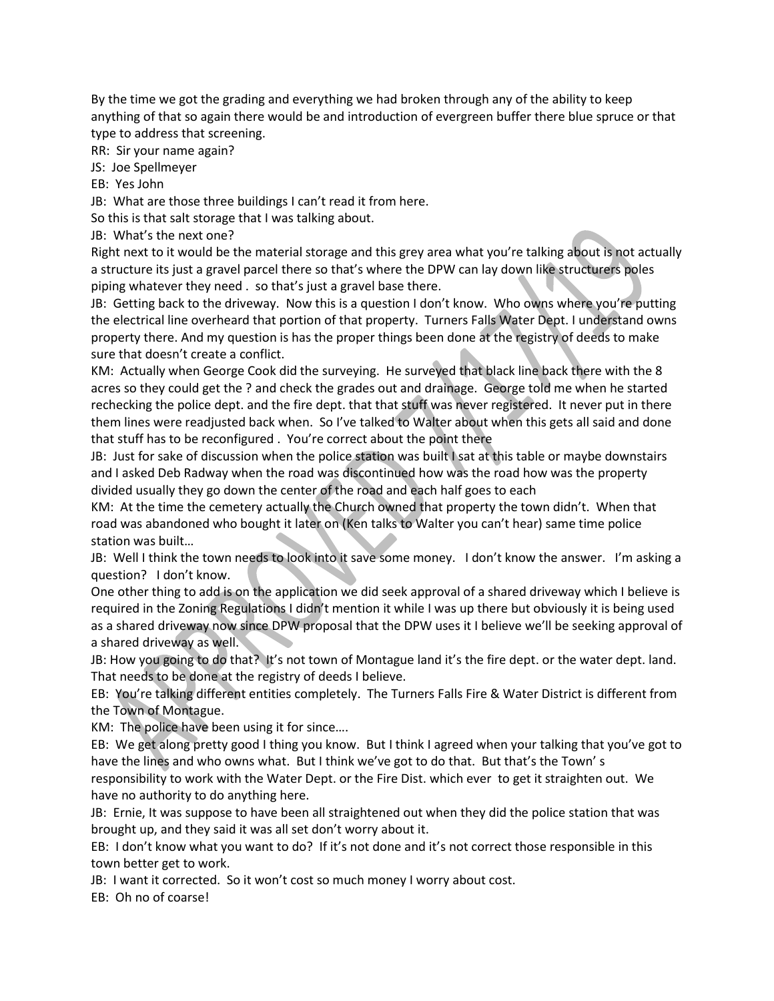By the time we got the grading and everything we had broken through any of the ability to keep anything of that so again there would be and introduction of evergreen buffer there blue spruce or that type to address that screening.

RR: Sir your name again?

JS: Joe Spellmeyer

EB: Yes John

JB: What are those three buildings I can't read it from here.

So this is that salt storage that I was talking about.

JB: What's the next one?

Right next to it would be the material storage and this grey area what you're talking about is not actually a structure its just a gravel parcel there so that's where the DPW can lay down like structurers poles piping whatever they need . so that's just a gravel base there.

JB: Getting back to the driveway. Now this is a question I don't know. Who owns where you're putting the electrical line overheard that portion of that property. Turners Falls Water Dept. I understand owns property there. And my question is has the proper things been done at the registry of deeds to make sure that doesn't create a conflict.

KM: Actually when George Cook did the surveying. He surveyed that black line back there with the 8 acres so they could get the ? and check the grades out and drainage. George told me when he started rechecking the police dept. and the fire dept. that that stuff was never registered. It never put in there them lines were readjusted back when. So I've talked to Walter about when this gets all said and done that stuff has to be reconfigured . You're correct about the point there

JB: Just for sake of discussion when the police station was built I sat at this table or maybe downstairs and I asked Deb Radway when the road was discontinued how was the road how was the property divided usually they go down the center of the road and each half goes to each

KM: At the time the cemetery actually the Church owned that property the town didn't. When that road was abandoned who bought it later on (Ken talks to Walter you can't hear) same time police station was built…

JB: Well I think the town needs to look into it save some money. I don't know the answer. I'm asking a question? I don't know.

One other thing to add is on the application we did seek approval of a shared driveway which I believe is required in the Zoning Regulations I didn't mention it while I was up there but obviously it is being used as a shared driveway now since DPW proposal that the DPW uses it I believe we'll be seeking approval of a shared driveway as well.

JB: How you going to do that? It's not town of Montague land it's the fire dept. or the water dept. land. That needs to be done at the registry of deeds I believe.

EB: You're talking different entities completely. The Turners Falls Fire & Water District is different from the Town of Montague.

KM: The police have been using it for since….

EB: We get along pretty good I thing you know. But I think I agreed when your talking that you've got to have the lines and who owns what. But I think we've got to do that. But that's the Town' s responsibility to work with the Water Dept. or the Fire Dist. which ever to get it straighten out. We have no authority to do anything here.

JB: Ernie, It was suppose to have been all straightened out when they did the police station that was brought up, and they said it was all set don't worry about it.

EB: I don't know what you want to do? If it's not done and it's not correct those responsible in this town better get to work.

JB: I want it corrected. So it won't cost so much money I worry about cost.

EB: Oh no of coarse!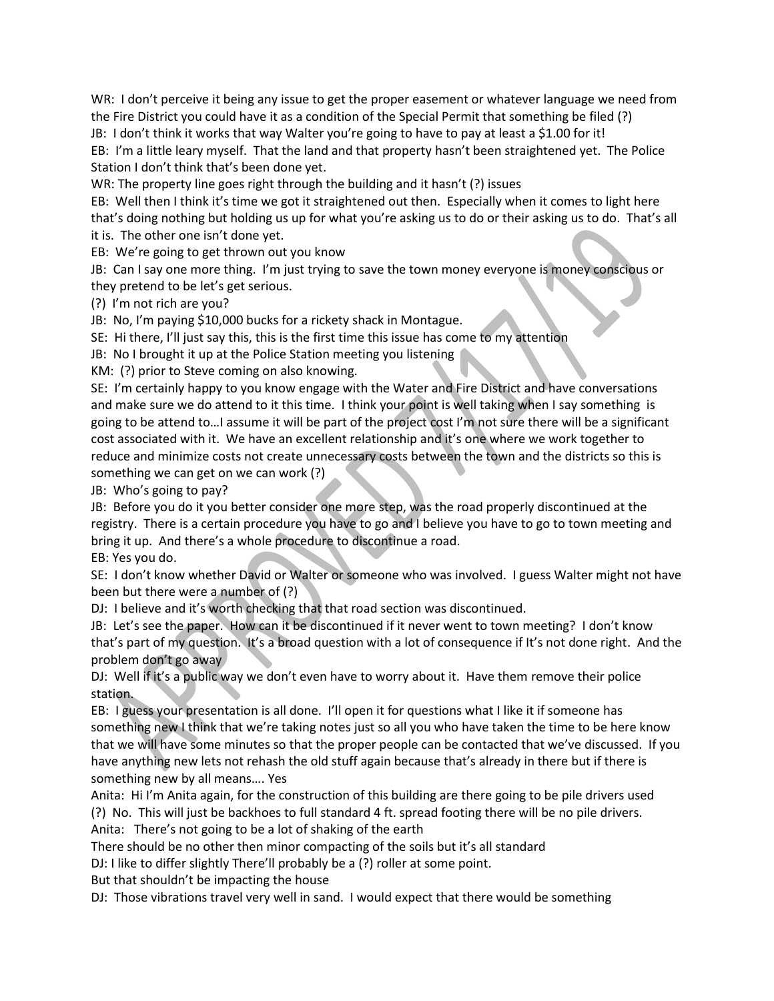WR: I don't perceive it being any issue to get the proper easement or whatever language we need from the Fire District you could have it as a condition of the Special Permit that something be filed (?)

JB: I don't think it works that way Walter you're going to have to pay at least a \$1.00 for it! EB: I'm a little leary myself. That the land and that property hasn't been straightened yet. The Police Station I don't think that's been done yet.

WR: The property line goes right through the building and it hasn't (?) issues

EB: Well then I think it's time we got it straightened out then. Especially when it comes to light here that's doing nothing but holding us up for what you're asking us to do or their asking us to do. That's all it is. The other one isn't done yet.

EB: We're going to get thrown out you know

JB: Can I say one more thing. I'm just trying to save the town money everyone is money conscious or they pretend to be let's get serious.

(?) I'm not rich are you?

JB: No, I'm paying \$10,000 bucks for a rickety shack in Montague.

SE: Hi there, I'll just say this, this is the first time this issue has come to my attention

JB: No I brought it up at the Police Station meeting you listening

KM: (?) prior to Steve coming on also knowing.

SE: I'm certainly happy to you know engage with the Water and Fire District and have conversations and make sure we do attend to it this time. I think your point is well taking when I say something is going to be attend to…I assume it will be part of the project cost I'm not sure there will be a significant cost associated with it. We have an excellent relationship and it's one where we work together to reduce and minimize costs not create unnecessary costs between the town and the districts so this is something we can get on we can work (?)

JB: Who's going to pay?

JB: Before you do it you better consider one more step, was the road properly discontinued at the registry. There is a certain procedure you have to go and I believe you have to go to town meeting and bring it up. And there's a whole procedure to discontinue a road.

EB: Yes you do.

SE: I don't know whether David or Walter or someone who was involved. I guess Walter might not have been but there were a number of (?)

DJ: I believe and it's worth checking that that road section was discontinued.

JB: Let's see the paper. How can it be discontinued if it never went to town meeting? I don't know that's part of my question. It's a broad question with a lot of consequence if It's not done right. And the problem don't go away

DJ: Well if it's a public way we don't even have to worry about it. Have them remove their police station.

EB: I guess your presentation is all done. I'll open it for questions what I like it if someone has something new I think that we're taking notes just so all you who have taken the time to be here know that we will have some minutes so that the proper people can be contacted that we've discussed. If you have anything new lets not rehash the old stuff again because that's already in there but if there is something new by all means…. Yes

Anita: Hi I'm Anita again, for the construction of this building are there going to be pile drivers used (?) No. This will just be backhoes to full standard 4 ft. spread footing there will be no pile drivers. Anita: There's not going to be a lot of shaking of the earth

There should be no other then minor compacting of the soils but it's all standard

DJ: I like to differ slightly There'll probably be a (?) roller at some point.

But that shouldn't be impacting the house

DJ: Those vibrations travel very well in sand. I would expect that there would be something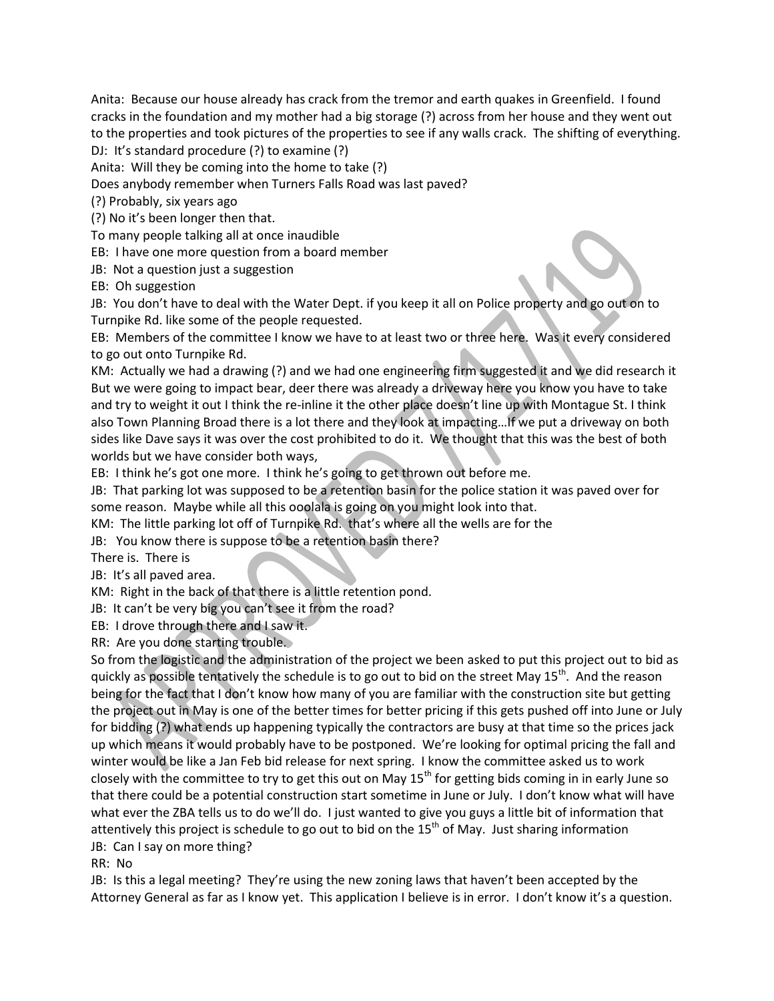Anita: Because our house already has crack from the tremor and earth quakes in Greenfield. I found cracks in the foundation and my mother had a big storage (?) across from her house and they went out to the properties and took pictures of the properties to see if any walls crack. The shifting of everything. DJ: It's standard procedure (?) to examine (?)

Anita: Will they be coming into the home to take (?)

Does anybody remember when Turners Falls Road was last paved?

(?) Probably, six years ago

(?) No it's been longer then that.

To many people talking all at once inaudible

EB: I have one more question from a board member

JB: Not a question just a suggestion

EB: Oh suggestion

JB: You don't have to deal with the Water Dept. if you keep it all on Police property and go out on to Turnpike Rd. like some of the people requested.

EB: Members of the committee I know we have to at least two or three here. Was it every considered to go out onto Turnpike Rd.

KM: Actually we had a drawing (?) and we had one engineering firm suggested it and we did research it But we were going to impact bear, deer there was already a driveway here you know you have to take and try to weight it out I think the re-inline it the other place doesn't line up with Montague St. I think also Town Planning Broad there is a lot there and they look at impacting…If we put a driveway on both sides like Dave says it was over the cost prohibited to do it. We thought that this was the best of both worlds but we have consider both ways,

EB: I think he's got one more. I think he's going to get thrown out before me.

JB: That parking lot was supposed to be a retention basin for the police station it was paved over for some reason. Maybe while all this ooolala is going on you might look into that.

KM: The little parking lot off of Turnpike Rd. that's where all the wells are for the

JB: You know there is suppose to be a retention basin there?

There is. There is

JB: It's all paved area.

KM: Right in the back of that there is a little retention pond.

JB: It can't be very big you can't see it from the road?

EB: I drove through there and I saw it.

RR: Are you done starting trouble.

So from the logistic and the administration of the project we been asked to put this project out to bid as quickly as possible tentatively the schedule is to go out to bid on the street May 15<sup>th</sup>. And the reason being for the fact that I don't know how many of you are familiar with the construction site but getting the project out in May is one of the better times for better pricing if this gets pushed off into June or July for bidding (?) what ends up happening typically the contractors are busy at that time so the prices jack up which means it would probably have to be postponed. We're looking for optimal pricing the fall and winter would be like a Jan Feb bid release for next spring. I know the committee asked us to work closely with the committee to try to get this out on May  $15<sup>th</sup>$  for getting bids coming in in early June so that there could be a potential construction start sometime in June or July. I don't know what will have what ever the ZBA tells us to do we'll do. I just wanted to give you guys a little bit of information that attentively this project is schedule to go out to bid on the  $15<sup>th</sup>$  of May. Just sharing information JB: Can I say on more thing?

RR: No

JB: Is this a legal meeting? They're using the new zoning laws that haven't been accepted by the Attorney General as far as I know yet. This application I believe is in error. I don't know it's a question.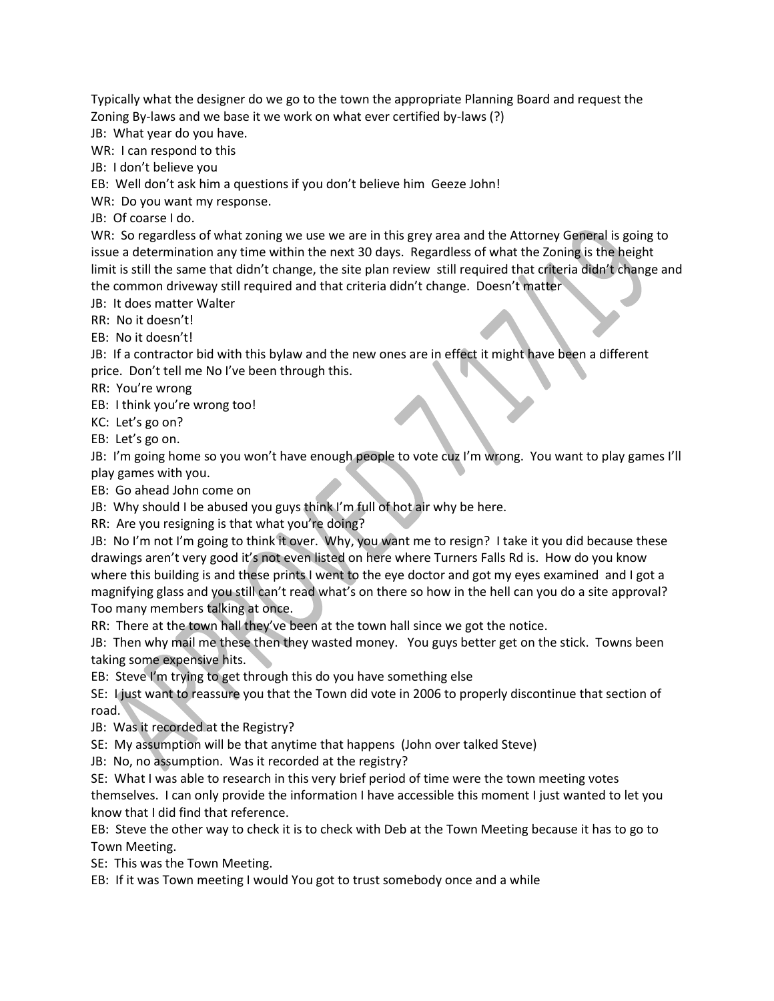Typically what the designer do we go to the town the appropriate Planning Board and request the Zoning By-laws and we base it we work on what ever certified by-laws (?)

JB: What year do you have.

WR: I can respond to this

JB: I don't believe you

EB: Well don't ask him a questions if you don't believe him Geeze John!

WR: Do you want my response.

JB: Of coarse I do.

WR: So regardless of what zoning we use we are in this grey area and the Attorney General is going to issue a determination any time within the next 30 days. Regardless of what the Zoning is the height limit is still the same that didn't change, the site plan review still required that criteria didn't change and the common driveway still required and that criteria didn't change. Doesn't matter

JB: It does matter Walter

RR: No it doesn't!

EB: No it doesn't!

JB: If a contractor bid with this bylaw and the new ones are in effect it might have been a different price. Don't tell me No I've been through this.

RR: You're wrong

EB: I think you're wrong too!

KC: Let's go on?

EB: Let's go on.

JB: I'm going home so you won't have enough people to vote cuz I'm wrong. You want to play games I'll play games with you.

EB: Go ahead John come on

JB: Why should I be abused you guys think I'm full of hot air why be here.

RR: Are you resigning is that what you're doing?

JB: No I'm not I'm going to think it over. Why, you want me to resign? I take it you did because these drawings aren't very good it's not even listed on here where Turners Falls Rd is. How do you know where this building is and these prints I went to the eye doctor and got my eyes examined and I got a magnifying glass and you still can't read what's on there so how in the hell can you do a site approval? Too many members talking at once.

RR: There at the town hall they've been at the town hall since we got the notice.

JB: Then why mail me these then they wasted money. You guys better get on the stick. Towns been taking some expensive hits.

EB: Steve I'm trying to get through this do you have something else

SE: I just want to reassure you that the Town did vote in 2006 to properly discontinue that section of road.

JB: Was it recorded at the Registry?

SE: My assumption will be that anytime that happens (John over talked Steve)

JB: No, no assumption. Was it recorded at the registry?

SE: What I was able to research in this very brief period of time were the town meeting votes

themselves. I can only provide the information I have accessible this moment I just wanted to let you know that I did find that reference.

EB: Steve the other way to check it is to check with Deb at the Town Meeting because it has to go to Town Meeting.

SE: This was the Town Meeting.

EB: If it was Town meeting I would You got to trust somebody once and a while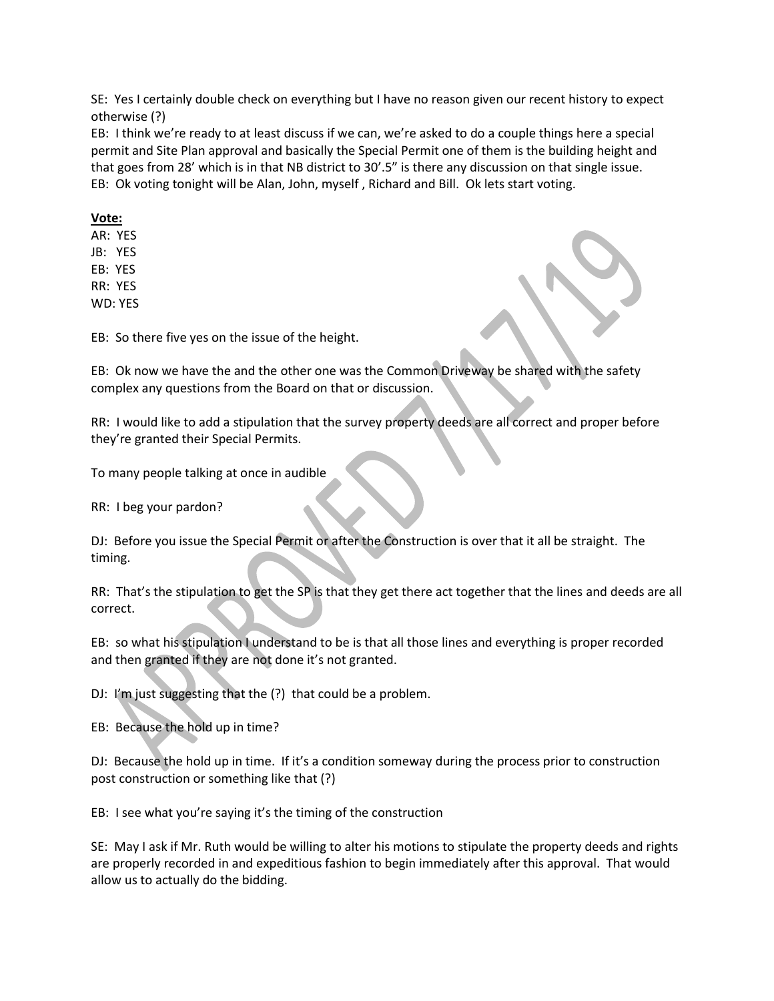SE: Yes I certainly double check on everything but I have no reason given our recent history to expect otherwise (?)

EB: I think we're ready to at least discuss if we can, we're asked to do a couple things here a special permit and Site Plan approval and basically the Special Permit one of them is the building height and that goes from 28' which is in that NB district to 30'.5" is there any discussion on that single issue. EB: Ok voting tonight will be Alan, John, myself , Richard and Bill. Ok lets start voting.

## **Vote:**

AR: YES JB: YES EB: YES RR: YES WD: YES

EB: So there five yes on the issue of the height.

EB: Ok now we have the and the other one was the Common Driveway be shared with the safety complex any questions from the Board on that or discussion.

RR: I would like to add a stipulation that the survey property deeds are all correct and proper before they're granted their Special Permits.

To many people talking at once in audible

RR: I beg your pardon?

DJ: Before you issue the Special Permit or after the Construction is over that it all be straight. The timing.

RR: That's the stipulation to get the SP is that they get there act together that the lines and deeds are all correct.

EB: so what his stipulation I understand to be is that all those lines and everything is proper recorded and then granted if they are not done it's not granted.

DJ: I'm just suggesting that the (?) that could be a problem.

EB: Because the hold up in time?

DJ: Because the hold up in time. If it's a condition someway during the process prior to construction post construction or something like that (?)

EB: I see what you're saying it's the timing of the construction

SE: May I ask if Mr. Ruth would be willing to alter his motions to stipulate the property deeds and rights are properly recorded in and expeditious fashion to begin immediately after this approval. That would allow us to actually do the bidding.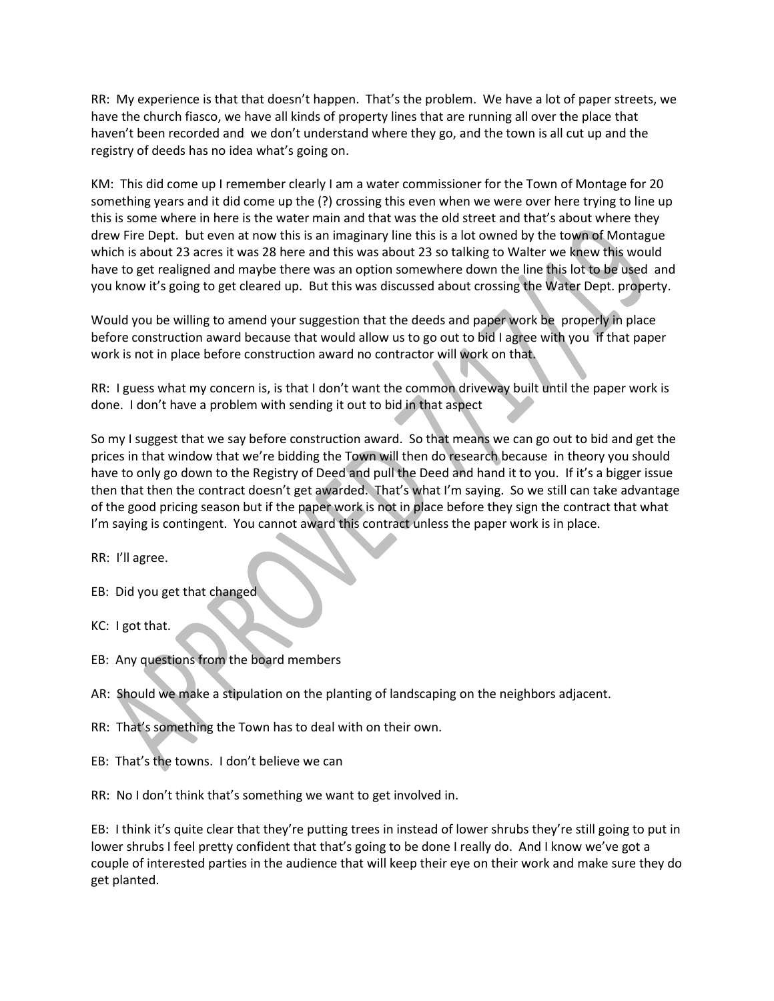RR: My experience is that that doesn't happen. That's the problem. We have a lot of paper streets, we have the church fiasco, we have all kinds of property lines that are running all over the place that haven't been recorded and we don't understand where they go, and the town is all cut up and the registry of deeds has no idea what's going on.

KM: This did come up I remember clearly I am a water commissioner for the Town of Montage for 20 something years and it did come up the (?) crossing this even when we were over here trying to line up this is some where in here is the water main and that was the old street and that's about where they drew Fire Dept. but even at now this is an imaginary line this is a lot owned by the town of Montague which is about 23 acres it was 28 here and this was about 23 so talking to Walter we knew this would have to get realigned and maybe there was an option somewhere down the line this lot to be used and you know it's going to get cleared up. But this was discussed about crossing the Water Dept. property.

Would you be willing to amend your suggestion that the deeds and paper work be properly in place before construction award because that would allow us to go out to bid I agree with you if that paper work is not in place before construction award no contractor will work on that.

RR: I guess what my concern is, is that I don't want the common driveway built until the paper work is done. I don't have a problem with sending it out to bid in that aspect

So my I suggest that we say before construction award. So that means we can go out to bid and get the prices in that window that we're bidding the Town will then do research because in theory you should have to only go down to the Registry of Deed and pull the Deed and hand it to you. If it's a bigger issue then that then the contract doesn't get awarded. That's what I'm saying. So we still can take advantage of the good pricing season but if the paper work is not in place before they sign the contract that what I'm saying is contingent. You cannot award this contract unless the paper work is in place.

RR: I'll agree.

- EB: Did you get that changed
- KC: I got that.
- EB: Any questions from the board members
- AR: Should we make a stipulation on the planting of landscaping on the neighbors adjacent.
- RR: That's something the Town has to deal with on their own.
- EB: That's the towns. I don't believe we can

RR: No I don't think that's something we want to get involved in.

EB: I think it's quite clear that they're putting trees in instead of lower shrubs they're still going to put in lower shrubs I feel pretty confident that that's going to be done I really do. And I know we've got a couple of interested parties in the audience that will keep their eye on their work and make sure they do get planted.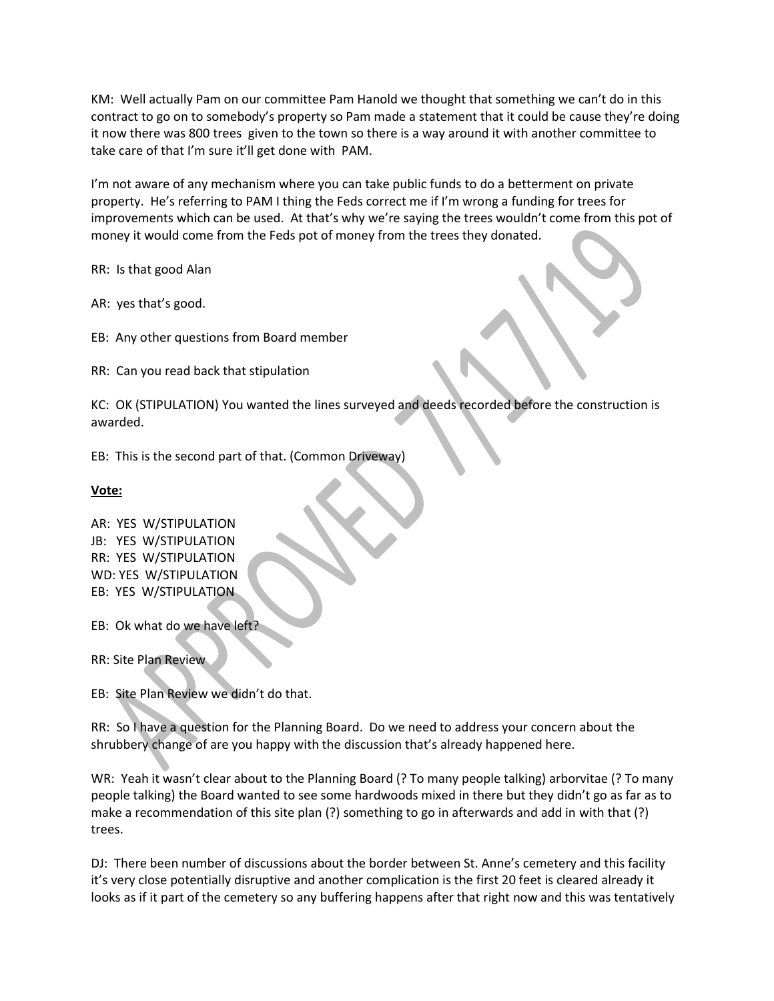KM: Well actually Pam on our committee Pam Hanold we thought that something we can't do in this contract to go on to somebody's property so Pam made a statement that it could be cause they're doing it now there was 800 trees given to the town so there is a way around it with another committee to take care of that I'm sure it'll get done with PAM.

I'm not aware of any mechanism where you can take public funds to do a betterment on private property. He's referring to PAM I thing the Feds correct me if I'm wrong a funding for trees for improvements which can be used. At that's why we're saying the trees wouldn't come from this pot of money it would come from the Feds pot of money from the trees they donated.

RR: Is that good Alan

AR: yes that's good.

EB: Any other questions from Board member

RR: Can you read back that stipulation

KC: OK (STIPULATION) You wanted the lines surveyed and deeds recorded before the construction is awarded.

EB: This is the second part of that. (Common Driveway)

**Vote:**

AR: YES W/STIPULATION JB: YES W/STIPULATION RR: YES W/STIPULATION WD: YES W/STIPULATION EB: YES W/STIPULATION

EB: Ok what do we have left?

RR: Site Plan Review

EB: Site Plan Review we didn't do that.

RR: So I have a question for the Planning Board. Do we need to address your concern about the shrubbery change of are you happy with the discussion that's already happened here.

WR: Yeah it wasn't clear about to the Planning Board (? To many people talking) arborvitae (? To many people talking) the Board wanted to see some hardwoods mixed in there but they didn't go as far as to make a recommendation of this site plan (?) something to go in afterwards and add in with that (?) trees.

DJ: There been number of discussions about the border between St. Anne's cemetery and this facility it's very close potentially disruptive and another complication is the first 20 feet is cleared already it looks as if it part of the cemetery so any buffering happens after that right now and this was tentatively